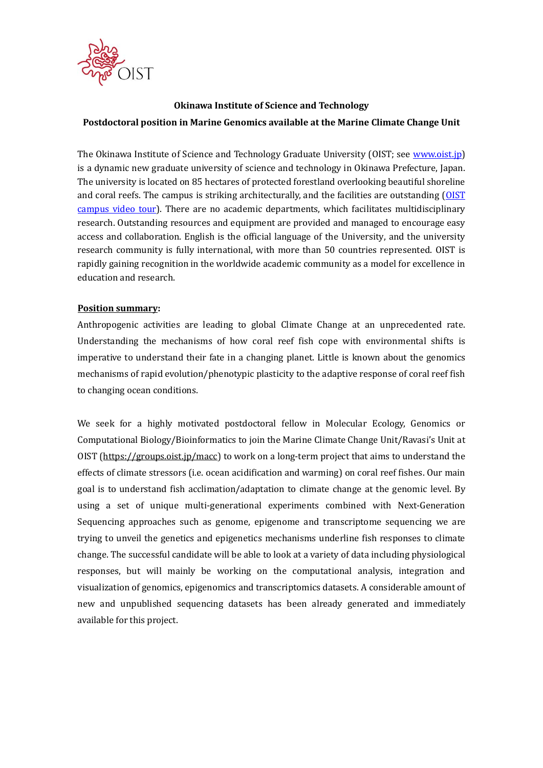

# **Okinawa Institute of Science and Technology Postdoctoral position in Marine Genomics available at the Marine Climate Change Unit**

The Okinawa Institute of Science and Technology Graduate University (OIST; see [www.oist.jp\)](http://www.oist.jp/) is a dynamic new graduate university of science and technology in Okinawa Prefecture, Japan. The university is located on 85 hectares of protected forestland overlooking beautiful shoreline and coral reefs. The campus is striking architecturally, and the facilities are outstanding [\(OIST](https://youtu.be/OLeylXbZDpo)  [campus video tour\)](https://youtu.be/OLeylXbZDpo). There are no academic departments, which facilitates multidisciplinary research. Outstanding resources and equipment are provided and managed to encourage easy access and collaboration. English is the official language of the University, and the university research community is fully international, with more than 50 countries represented. OIST is rapidly gaining recognition in the worldwide academic community as a model for excellence in education and research.

#### **Position summary:**

Anthropogenic activities are leading to global Climate Change at an unprecedented rate. Understanding the mechanisms of how coral reef fish cope with environmental shifts is imperative to understand their fate in a changing planet. Little is known about the genomics mechanisms of rapid evolution/phenotypic plasticity to the adaptive response of coral reef fish to changing ocean conditions.

We seek for a highly motivated postdoctoral fellow in Molecular Ecology, Genomics or Computational Biology/Bioinformatics to join the Marine Climate Change Unit/Ravasi's Unit at OIST [\(https://groups.oist.jp/macc\)](https://groups.oist.jp/macc) to work on a long-term project that aims to understand the effects of climate stressors (i.e. ocean acidification and warming) on coral reef fishes. Our main goal is to understand fish acclimation/adaptation to climate change at the genomic level. By using a set of unique multi-generational experiments combined with Next-Generation Sequencing approaches such as genome, epigenome and transcriptome sequencing we are trying to unveil the genetics and epigenetics mechanisms underline fish responses to climate change. The successful candidate will be able to look at a variety of data including physiological responses, but will mainly be working on the computational analysis, integration and visualization of genomics, epigenomics and transcriptomics datasets. A considerable amount of new and unpublished sequencing datasets has been already generated and immediately available for this project.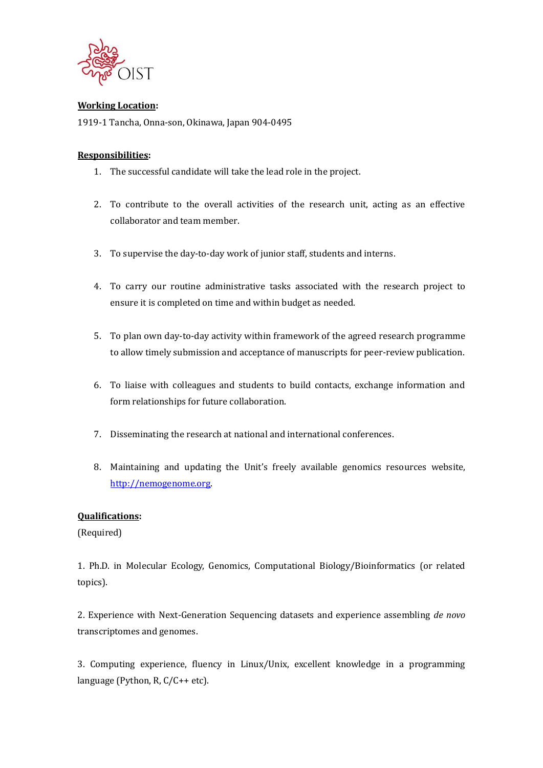

#### **Working Location:**

1919-1 Tancha, Onna-son, Okinawa, Japan 904-0495

### **Responsibilities:**

- 1. The successful candidate will take the lead role in the project.
- 2. To contribute to the overall activities of the research unit, acting as an effective collaborator and team member.
- 3. To supervise the day-to-day work of junior staff, students and interns.
- 4. To carry our routine administrative tasks associated with the research project to ensure it is completed on time and within budget as needed.
- 5. To plan own day-to-day activity within framework of the agreed research programme to allow timely submission and acceptance of manuscripts for peer-review publication.
- 6. To liaise with colleagues and students to build contacts, exchange information and form relationships for future collaboration.
- 7. Disseminating the research at national and international conferences.
- 8. Maintaining and updating the Unit's freely available genomics resources website, [http://nemogenome.org.](http://nemogenome.org/)

# **Qualifications:**

(Required)

1. Ph.D. in Molecular Ecology, Genomics, Computational Biology/Bioinformatics (or related topics).

2. Experience with Next-Generation Sequencing datasets and experience assembling *de novo* transcriptomes and genomes.

3. Computing experience, fluency in Linux/Unix, excellent knowledge in a programming language (Python, R, C/C++ etc).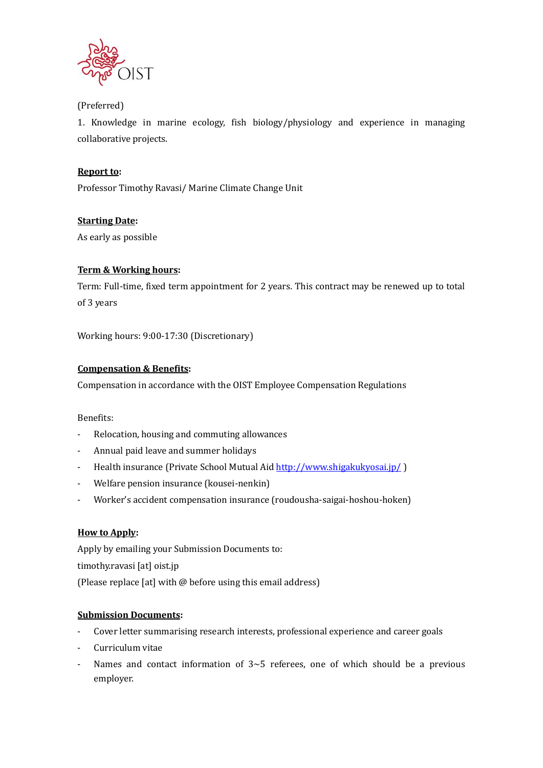

## (Preferred)

1. Knowledge in marine ecology, fish biology/physiology and experience in managing collaborative projects.

# **Report to:**

Professor Timothy Ravasi/ Marine Climate Change Unit

# **Starting Date:**

As early as possible

# **Term & Working hours:**

Term: Full-time, fixed term appointment for 2 years. This contract may be renewed up to total of 3 years

Working hours: 9:00-17:30 (Discretionary)

### **Compensation & Benefits:**

Compensation in accordance with the OIST Employee Compensation Regulations

#### Benefits:

- Relocation, housing and commuting allowances
- Annual paid leave and summer holidays
- Health insurance (Private School Mutual Aid<http://www.shigakukyosai.jp/>)
- Welfare pension insurance (kousei-nenkin)
- Worker's accident compensation insurance (roudousha-saigai-hoshou-hoken)

### **How to Apply:**

Apply by emailing your Submission Documents to: timothy.ravasi [at] oist.jp (Please replace [at] with @ before using this email address)

### **Submission Documents:**

- Cover letter summarising research interests, professional experience and career goals
- Curriculum vitae
- Names and contact information of  $3~5$  referees, one of which should be a previous employer.